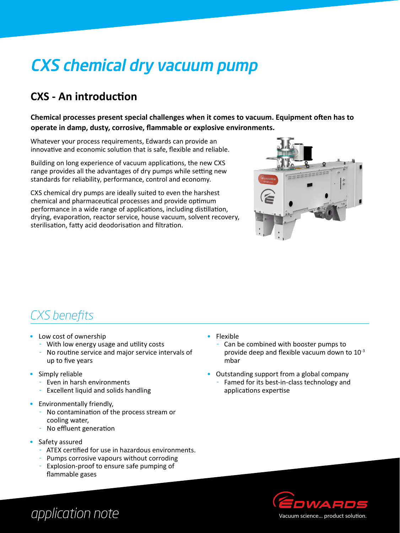# CXS chemical dry vacuum pump

### **CXS - An introduction**

**Chemical processes present special challenges when it comes to vacuum. Equipment often has to operate in damp, dusty, corrosive, flammable or explosive environments.** 

Whatever your process requirements, Edwards can provide an innovative and economic solution that is safe, flexible and reliable.

Building on long experience of vacuum applications, the new CXS range provides all the advantages of dry pumps while setting new standards for reliability, performance, control and economy.

CXS chemical dry pumps are ideally suited to even the harshest chemical and pharmaceutical processes and provide optimum performance in a wide range of applications, including distillation, drying, evaporation, reactor service, house vacuum, solvent recovery, sterilisation, fatty acid deodorisation and filtration.



### *CXS benefits*

- Low cost of ownership
	- With low energy usage and utility costs
	- No routine service and major service intervals of up to five years
- Simply reliable
	- Even in harsh environments
	- Excellent liquid and solids handling
- Environmentally friendly,
	- No contamination of the process stream or cooling water,
	- No effluent generation
- Safety assured
	- ATEX certified for use in hazardous environments.
	- Pumps corrosive vapours without corroding
	- Explosion-proof to ensure safe pumping of flammable gases
- • Flexible
	- Can be combined with booster pumps to provide deep and flexible vacuum down to 10-3 mbar
- Outstanding support from a global company
	- Famed for its best-in-class technology and applications expertise



# *application note*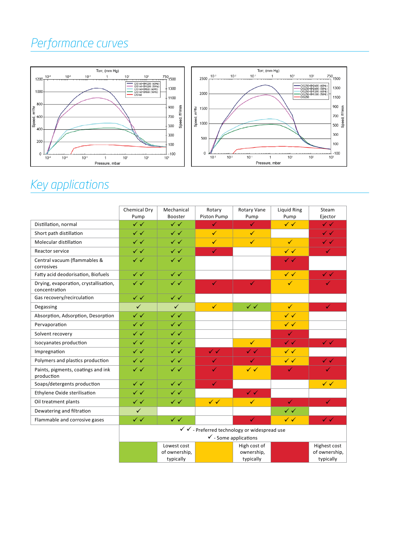### *Performance curves*



## *Key applications*

|                                                        | Chemical Dry<br>Pump                                                             | Mechanical<br><b>Booster</b>              | Rotary<br>Piston Pump     | Rotary Vane<br>Pump                     | Liquid Ring<br>Pump       | Steam<br>Ejector                           |
|--------------------------------------------------------|----------------------------------------------------------------------------------|-------------------------------------------|---------------------------|-----------------------------------------|---------------------------|--------------------------------------------|
| Distillation, normal                                   | $\checkmark$                                                                     | $\checkmark$                              | ✓                         | $\checkmark$                            | $\checkmark$              | $\checkmark$                               |
| Short path distillation                                | $\checkmark$                                                                     | $\checkmark$                              | $\checkmark$              | $\checkmark$                            |                           | $\checkmark$                               |
| Molecular distillation                                 | $\checkmark$                                                                     | $\checkmark$                              | $\checkmark$              | $\checkmark$                            | $\checkmark$              | $\checkmark$                               |
| Reactor service                                        | $\checkmark$                                                                     | $\checkmark$                              | $\checkmark$              |                                         | $\checkmark$              | $\checkmark$                               |
| Central vacuum (flammables &<br>corrosives             | $\checkmark$                                                                     | $\checkmark$                              |                           |                                         | $\checkmark$ $\checkmark$ |                                            |
| Fatty acid deodorisation, Biofuels                     | $\checkmark$                                                                     | $\checkmark$                              |                           |                                         | $\checkmark$              | $\checkmark$ $\checkmark$                  |
| Drying, evaporation, crystallisation,<br>concentration | $\checkmark$                                                                     | $\checkmark$                              | $\checkmark$              | $\checkmark$                            | $\checkmark$              | $\checkmark$                               |
| Gas recovery/recirculation                             | $\checkmark$                                                                     | $\checkmark$                              |                           |                                         |                           |                                            |
| Degassing                                              | $\checkmark$                                                                     | $\checkmark$                              | $\checkmark$              | $\checkmark$                            | $\checkmark$              | $\checkmark$                               |
| Absorption, Adsorption, Desorption                     | $\checkmark$                                                                     | $\checkmark$                              |                           |                                         | $\checkmark$              |                                            |
| Pervaporation                                          | $\checkmark$                                                                     | $\checkmark$                              |                           |                                         | $\checkmark$              |                                            |
| Solvent recovery                                       | $\checkmark$                                                                     | $\checkmark$                              |                           |                                         | $\checkmark$              |                                            |
| Isocyanates production                                 | $\checkmark$                                                                     | $\checkmark$                              |                           | $\checkmark$                            | $\checkmark$ $\checkmark$ | $\checkmark$                               |
| Impregnation                                           | $\checkmark$                                                                     | $\checkmark$                              | $\checkmark$ $\checkmark$ | $\checkmark$ $\checkmark$               | $\checkmark$              |                                            |
| Polymers and plastics production                       | $\checkmark$                                                                     | $\checkmark$                              | ✓                         | ✓                                       | $\checkmark$              | $\checkmark$ $\checkmark$                  |
| Paints, pigments, coatings and ink<br>production       | $\checkmark$ $\checkmark$                                                        | $\checkmark$                              | $\checkmark$              | $\checkmark$                            | $\checkmark$              | $\checkmark$                               |
| Soaps/detergents production                            | $\checkmark$                                                                     | $\checkmark$                              | $\checkmark$              |                                         |                           | $\checkmark$                               |
| Ethylene Oxide sterilisation                           | $\checkmark$                                                                     | $\checkmark$                              |                           | $\checkmark$ $\checkmark$               |                           |                                            |
| Oil treatment plants                                   | $\checkmark$                                                                     | $\checkmark$                              | $\checkmark$              | $\checkmark$                            | $\checkmark$              | $\checkmark$                               |
| Dewatering and filtration                              | $\checkmark$                                                                     |                                           |                           |                                         | $\checkmark$              |                                            |
| Flammable and corrosive gases                          | $\checkmark$                                                                     | $\checkmark$ $\checkmark$                 |                           | $\checkmark$                            | $\checkmark$              | $\checkmark$ $\checkmark$                  |
|                                                        | √ √ - Preferred technology or widespread use<br>$\checkmark$ - Some applications |                                           |                           |                                         |                           |                                            |
|                                                        |                                                                                  | Lowest cost<br>of ownership,<br>typically |                           | High cost of<br>ownership,<br>typically |                           | Highest cost<br>of ownership,<br>typically |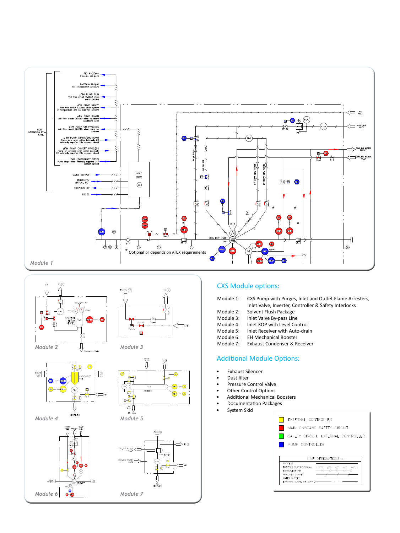





#### CXS Module options:

| Module 1:            | CXS Pump with Purges, Inlet and Outlet Flame Arresters, |
|----------------------|---------------------------------------------------------|
|                      | Inlet Valve, Inverter, Controller & Safety Interlocks   |
| Module 2:            | Solvent Flush Package                                   |
| $A = -1$ . $A = 2$ . | the light Markets. Development from                     |

- Module 3: Inlet Valve By-pass Line<br>Module 4: Inlet KOP with Level Cor
- Module 4: Inlet KOP with Level Control<br>Module 5: Inlet Receiver with Auto-dra
- Inlet Receiver with Auto-drain
- Module 6: EH Mechanical Booster
- Module 7: Exhaust Condenser & Receiver

#### Additional Module Options:

- **Exhaust Silencer**
- Dust filter
- Pressure Control Valve
- **Other Control Options**
- Additional Mechanical Boosters
- **Documentation Packages**
- • System Skid